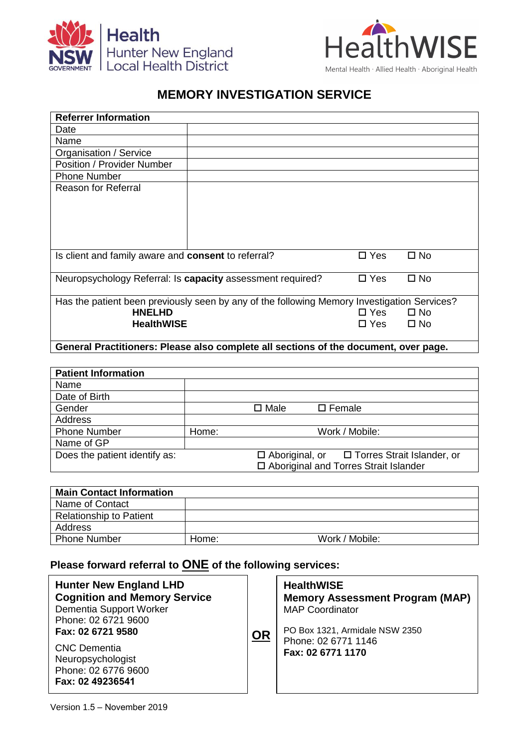

## **MEMORY INVESTIGATION SERVICE**

| <b>Referrer Information</b>                                                                 |            |               |              |  |  |  |
|---------------------------------------------------------------------------------------------|------------|---------------|--------------|--|--|--|
| Date                                                                                        |            |               |              |  |  |  |
| Name                                                                                        |            |               |              |  |  |  |
| Organisation / Service                                                                      |            |               |              |  |  |  |
| Position / Provider Number                                                                  |            |               |              |  |  |  |
| <b>Phone Number</b>                                                                         |            |               |              |  |  |  |
| <b>Reason for Referral</b>                                                                  |            |               |              |  |  |  |
|                                                                                             |            |               |              |  |  |  |
|                                                                                             |            |               |              |  |  |  |
|                                                                                             |            |               |              |  |  |  |
|                                                                                             |            |               |              |  |  |  |
|                                                                                             |            |               |              |  |  |  |
| Is client and family aware and <b>consent</b> to referral?<br>$\square$ Yes<br>$\square$ No |            |               |              |  |  |  |
|                                                                                             |            |               |              |  |  |  |
| Neuropsychology Referral: Is capacity assessment required?                                  | $\Box$ Yes | $\square$ No  |              |  |  |  |
|                                                                                             |            |               |              |  |  |  |
| Has the patient been previously seen by any of the following Memory Investigation Services? |            |               |              |  |  |  |
| <b>HNELHD</b>                                                                               |            | $\square$ Yes | $\square$ No |  |  |  |
| <b>HealthWISE</b>                                                                           | □ Yes      | $\square$ No  |              |  |  |  |
|                                                                                             |            |               |              |  |  |  |
| General Practitioners: Please also complete all sections of the document, over page.        |            |               |              |  |  |  |

## **General Practitioners: Please also complete all sections of the document, over page.**

| <b>Patient Information</b>    |       |                                               |
|-------------------------------|-------|-----------------------------------------------|
| Name                          |       |                                               |
| Date of Birth                 |       |                                               |
| Gender                        |       | $\square$ Male<br>$\square$ Female            |
| Address                       |       |                                               |
| <b>Phone Number</b>           | Home: | Work / Mobile:                                |
| Name of GP                    |       |                                               |
| Does the patient identify as: |       | □ Aboriginal, or □ Torres Strait Islander, or |
|                               |       | □ Aboriginal and Torres Strait Islander       |

| <b>Main Contact Information</b> |       |                |
|---------------------------------|-------|----------------|
| Name of Contact                 |       |                |
| <b>Relationship to Patient</b>  |       |                |
| Address                         |       |                |
| <b>Phone Number</b>             | Home: | Work / Mobile: |

## **Please forward referral to ONE of the following services:**

| <b>Hunter New England LHD</b><br><b>Cognition and Memory Service</b><br>Dementia Support Worker<br>Phone: 02 6721 9600<br>Fax: 02 6721 9580 | OR | <b>HealthWISE</b><br><b>Memory Assessment Program (MAP)</b><br><b>MAP Coordinator</b><br>PO Box 1321, Armidale NSW 2350 |
|---------------------------------------------------------------------------------------------------------------------------------------------|----|-------------------------------------------------------------------------------------------------------------------------|
| <b>CNC</b> Dementia<br>Neuropsychologist<br>Phone: 02 6776 9600<br>Fax: 02 49236541                                                         |    | Phone: 02 6771 1146<br>Fax: 02 6771 1170<br><b>Or via Medical Objects</b>                                               |